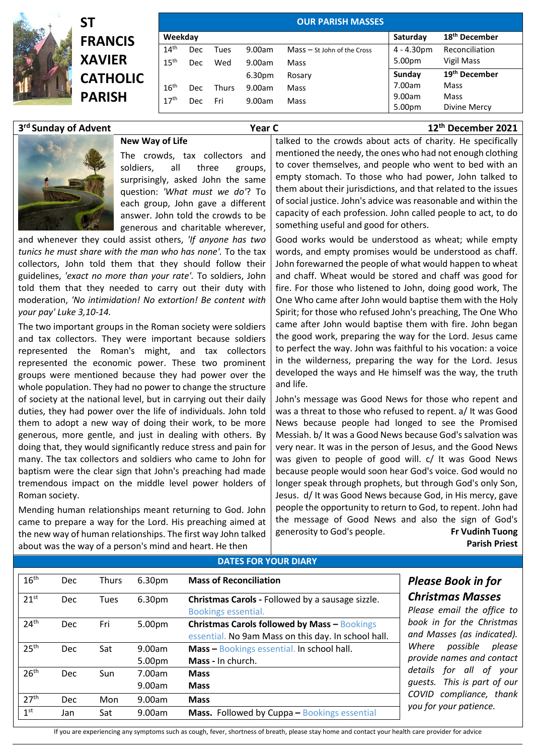



|                  |            |       |        | <b>OUR PARISH MASSES</b>      |              |                           |
|------------------|------------|-------|--------|-------------------------------|--------------|---------------------------|
| Weekday          |            |       |        |                               | Saturday     | 18 <sup>th</sup> December |
| 14 <sup>th</sup> | <b>Dec</b> | Tues  | 9.00am | $Mass - St$ John of the Cross | $4 - 4.30pm$ | Reconciliation            |
| 15 <sup>th</sup> | Dec        | Wed   | 9.00am | Mass                          | 5.00pm       | Vigil Mass                |
|                  |            |       | 6.30pm | Rosary                        | Sunday       | 19 <sup>th</sup> December |
| 16 <sup>th</sup> | Dec.       | Thurs | 9.00am | Mass                          | 7.00am       | Mass                      |
| 17 <sup>th</sup> | Dec.       | Fri   | 9.00am | Mass                          | 9.00am       | Mass                      |
|                  |            |       |        |                               | 5.00pm       | Divine Mercy              |

## 3<sup>rd</sup> Sunday of Advent

**rd r 12<sup>th</sup> <b>December 2021** 



The crowds, tax collectors and soldiers, all three groups, surprisingly, asked John the same question: *'What must we do'*? To each group, John gave a different answer. John told the crowds to be generous and charitable wherever,

and whenever they could assist others, *'If anyone has two tunics he must share with the man who has none'.* To the tax collectors, John told them that they should follow their guidelines, *'exact no more than your rate'.* To soldiers, John told them that they needed to carry out their duty with moderation, *'No intimidation! No extortion! Be content with your pay' Luke 3,10-14.*

**New Way of Life**

The two important groups in the Roman society were soldiers and tax collectors. They were important because soldiers represented the Roman's might, and tax collectors represented the economic power. These two prominent groups were mentioned because they had power over the whole population. They had no power to change the structure of society at the national level, but in carrying out their daily duties, they had power over the life of individuals. John told them to adopt a new way of doing their work, to be more generous, more gentle, and just in dealing with others. By doing that, they would significantly reduce stress and pain for many. The tax collectors and soldiers who came to John for baptism were the clear sign that John's preaching had made tremendous impact on the middle level power holders of Roman society.

Mending human relationships meant returning to God. John came to prepare a way for the Lord. His preaching aimed at the new way of human relationships. The first way John talked about was the way of a person's mind and heart. He then

talked to the crowds about acts of charity. He specifically mentioned the needy, the ones who had not enough clothing to cover themselves, and people who went to bed with an empty stomach. To those who had power, John talked to them about their jurisdictions, and that related to the issues of social justice. John's advice was reasonable and within the capacity of each profession. John called people to act, to do something useful and good for others.

Good works would be understood as wheat; while empty words, and empty promises would be understood as chaff. John forewarned the people of what would happen to wheat and chaff. Wheat would be stored and chaff was good for fire. For those who listened to John, doing good work, The One Who came after John would baptise them with the Holy Spirit; for those who refused John's preaching, The One Who came after John would baptise them with fire. John began the good work, preparing the way for the Lord. Jesus came to perfect the way. John was faithful to his vocation: a voice in the wilderness, preparing the way for the Lord. Jesus developed the ways and He himself was the way, the truth and life.

John's message was Good News for those who repent and was a threat to those who refused to repent. a/ It was Good News because people had longed to see the Promised Messiah. b/ It was a Good News because God's salvation was very near. It was in the person of Jesus, and the Good News was given to people of good will. c/ It was Good News because people would soon hear God's voice. God would no longer speak through prophets, but through God's only Son, Jesus. d/ It was Good News because God, in His mercy, gave people the opportunity to return to God, to repent. John had the message of Good News and also the sign of God's generosity to God's people. **Fr Vudinh Tuong Parish Priest**

|                  |            |              |                  | <b>DATES FOR YOUR DIARY</b>                                                                                |
|------------------|------------|--------------|------------------|------------------------------------------------------------------------------------------------------------|
| 16 <sup>th</sup> | <b>Dec</b> | <b>Thurs</b> | 6.30pm           | <b>Mass of Reconciliation</b>                                                                              |
| 21 <sup>st</sup> | <b>Dec</b> | Tues         | 6.30pm           | Christmas Carols - Followed by a sausage sizzle.<br>Bookings essential.                                    |
| 24 <sup>th</sup> | <b>Dec</b> | Fri          | 5.00pm           | <b>Christmas Carols followed by Mass - Bookings</b><br>essential. No 9am Mass on this day. In school hall. |
| 25 <sup>th</sup> | <b>Dec</b> | Sat          | 9.00am<br>5.00pm | Mass - Bookings essential. In school hall.<br>Mass - In church.                                            |
| 26 <sup>th</sup> | <b>Dec</b> | Sun          | 7.00am<br>9.00am | <b>Mass</b><br><b>Mass</b>                                                                                 |
| 27 <sup>th</sup> | <b>Dec</b> | Mon          | 9.00am           | <b>Mass</b>                                                                                                |
| 1 <sup>st</sup>  | Jan        | Sat          | 9.00am           | <b>Mass.</b> Followed by Cuppa - Bookings essential                                                        |

## *Please Book in for Christmas Masses*

email the office to *book in for the Christmas and Masses (as indicated). Where possible please provide names and contact*  for all of your *This is part of our*  $compliance,$  thank *your patience.* 

If you are experiencing any symptoms such as cough, fever, shortness of breath, please stay home and contact your health care provider for advice